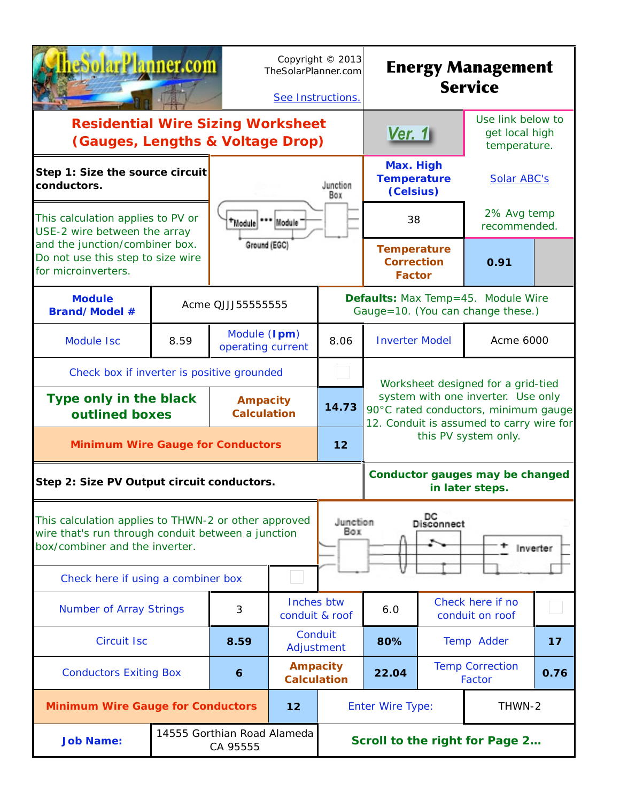| rPlanner.com                                                                                                                                                                                                              | TheSolarPlanner.com<br>See Instructions. | Copyright © 2013 | <b>Energy Management</b><br><b>Service</b> |                                                                                                                        |                                                          |                                |                                                                                |      |
|---------------------------------------------------------------------------------------------------------------------------------------------------------------------------------------------------------------------------|------------------------------------------|------------------|--------------------------------------------|------------------------------------------------------------------------------------------------------------------------|----------------------------------------------------------|--------------------------------|--------------------------------------------------------------------------------|------|
| <b>Residential Wire Sizing Worksheet</b><br>(Gauges, Lengths & Voltage Drop)                                                                                                                                              |                                          |                  |                                            |                                                                                                                        | Ver. $1$                                                 |                                | Use link below to<br>get local high<br>temperature.                            |      |
| Step 1: Size the source circuit<br>conductors.                                                                                                                                                                            |                                          |                  |                                            | Junction<br>Box                                                                                                        | Max. High<br><b>Temperature</b><br>(Celsius)             |                                | Solar ABC's                                                                    |      |
| This calculation applies to PV or<br>USE-2 wire between the array                                                                                                                                                         |                                          | *Module          | Module                                     |                                                                                                                        | 38                                                       |                                | 2% Avg temp<br>recommended.                                                    |      |
| and the junction/combiner box.<br>Do not use this step to size wire<br>for microinverters.                                                                                                                                |                                          | Ground (EGC)     |                                            |                                                                                                                        | <b>Temperature</b><br><b>Correction</b><br><b>Factor</b> |                                | 0.91                                                                           |      |
| <b>Module</b><br>Acme QJJJ55555555<br><b>Brand/Model #</b>                                                                                                                                                                |                                          |                  |                                            |                                                                                                                        |                                                          |                                | <b>Defaults:</b> Max Temp=45. Module Wire<br>Gauge=10. (You can change these.) |      |
| <b>Module Isc</b>                                                                                                                                                                                                         | 8.59                                     |                  | Module (Ipm)<br>8.06<br>operating current  |                                                                                                                        |                                                          | <b>Inverter Model</b>          | Acme 6000                                                                      |      |
| Check box if inverter is positive grounded                                                                                                                                                                                |                                          |                  |                                            |                                                                                                                        | Worksheet designed for a grid-tied                       |                                |                                                                                |      |
| Type only in the black<br>outlined boxes                                                                                                                                                                                  | <b>Ampacity</b><br><b>Calculation</b>    | 14.73            |                                            | system with one inverter. Use only<br>90°C rated conductors, minimum gauge<br>12. Conduit is assumed to carry wire for |                                                          |                                |                                                                                |      |
| <b>Minimum Wire Gauge for Conductors</b>                                                                                                                                                                                  |                                          |                  |                                            | 12                                                                                                                     | this PV system only.                                     |                                |                                                                                |      |
| Step 2: Size PV Output circuit conductors.                                                                                                                                                                                |                                          |                  |                                            |                                                                                                                        | Conductor gauges may be changed<br>in later steps.       |                                |                                                                                |      |
| DC<br>Disconnect<br>This calculation applies to THWN-2 or other approved<br>Junction<br>Box<br>wire that's run through conduit between a junction<br>box/combiner and the inverter.<br>Check here if using a combiner box |                                          |                  |                                            |                                                                                                                        |                                                          |                                | Inverter                                                                       |      |
| <b>Number of Array Strings</b>                                                                                                                                                                                            |                                          | 3                | Inches btw<br>conduit & roof               |                                                                                                                        | 6.0                                                      |                                | Check here if no<br>conduit on roof                                            |      |
| <b>Circuit Isc</b>                                                                                                                                                                                                        |                                          | 8.59             | Conduit<br>Adjustment                      |                                                                                                                        | 80%                                                      |                                | Temp Adder                                                                     | 17   |
| <b>Conductors Exiting Box</b><br>$\boldsymbol{6}$                                                                                                                                                                         |                                          |                  | <b>Ampacity</b><br><b>Calculation</b>      |                                                                                                                        | 22.04                                                    |                                | <b>Temp Correction</b><br>Factor                                               | 0.76 |
| <b>Minimum Wire Gauge for Conductors</b>                                                                                                                                                                                  |                                          |                  | 12                                         |                                                                                                                        | THWN-2<br><b>Enter Wire Type:</b>                        |                                |                                                                                |      |
| 14555 Gorthian Road Alameda<br><b>Job Name:</b><br>CA 95555                                                                                                                                                               |                                          |                  |                                            |                                                                                                                        |                                                          | Scroll to the right for Page 2 |                                                                                |      |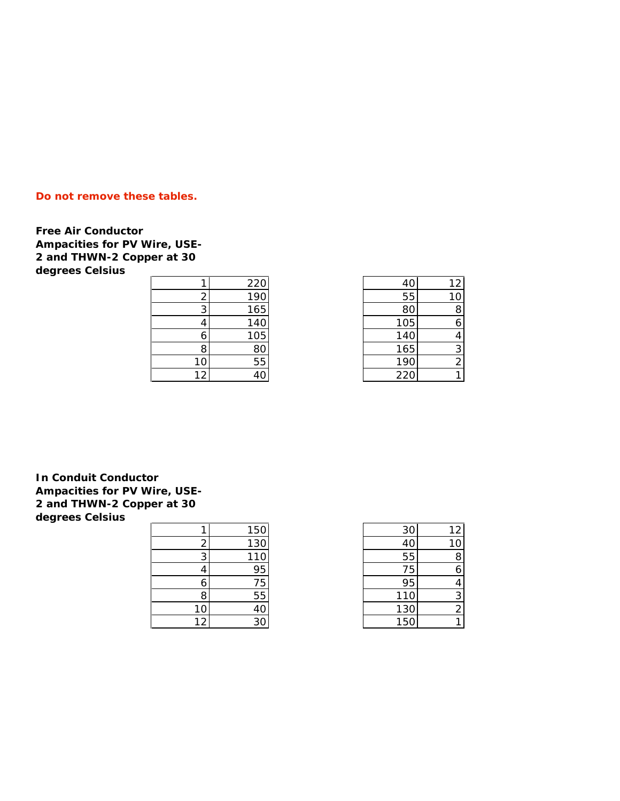## **Do not remove these tables.**

**Free Air Conductor Ampacities for PV Wire, USE-2 and THWN-2 Copper at 30 degrees Celsius**

|    | 220             |
|----|-----------------|
| 2  | 190             |
| 3  | 165             |
| 4  | 140             |
| 6  | 105             |
| 8  | 80              |
| 1  | $\overline{55}$ |
| 12 |                 |

|    | 220 | 40  | 12 <sub>1</sub> |
|----|-----|-----|-----------------|
|    | 190 | 55  | 10              |
| 3  | 165 | 8С  | 8               |
|    | 140 | 105 |                 |
| 6  | 105 | 140 |                 |
| 8  | 80  | 165 | 3               |
| 10 | 55  | 190 |                 |
| 12 | 40  | 220 |                 |

**In Conduit Conductor Ampacities for PV Wire, USE-2 and THWN-2 Copper at 30 degrees Celsius**

|    | 150            |
|----|----------------|
| 2  | 130            |
| 3  | 110            |
| 4  | 95             |
| 6  | 75             |
| 8  | 55             |
|    | 4C             |
| 12 | 3 <sub>C</sub> |

|    | 150 | 30              | 12 |
|----|-----|-----------------|----|
|    | 130 | 40              | 10 |
| 3  | 110 | 55              |    |
|    | 95  | 75              |    |
| 0  | 75  | 95              |    |
| 8  | 55  | 110             |    |
| 10 | 40  | 130             |    |
| 12 | 30  | 15 <sub>C</sub> |    |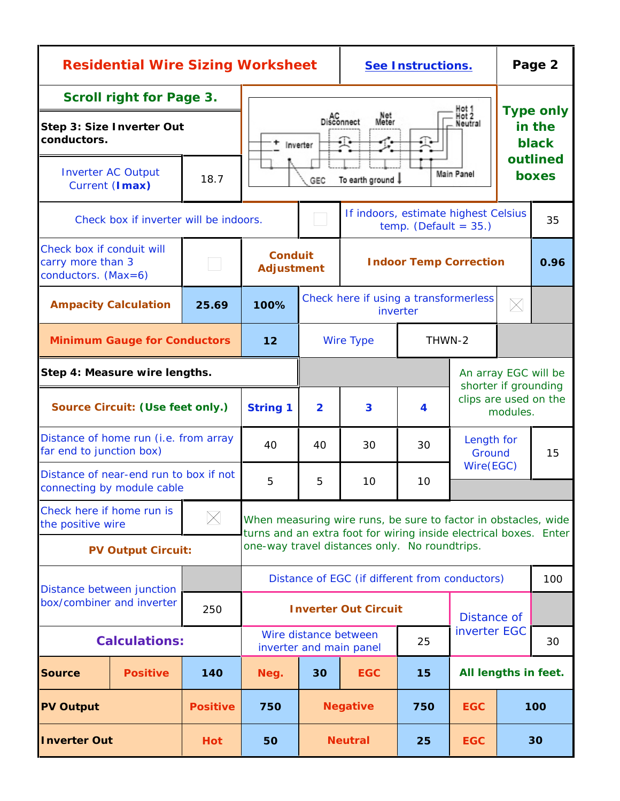| <b>Residential Wire Sizing Worksheet</b>                                    |                                                                      |                 |                                                                                                                                     |                                                                  | See Instructions.                             |                                                   |                                                           | Page 2                              |                   |
|-----------------------------------------------------------------------------|----------------------------------------------------------------------|-----------------|-------------------------------------------------------------------------------------------------------------------------------------|------------------------------------------------------------------|-----------------------------------------------|---------------------------------------------------|-----------------------------------------------------------|-------------------------------------|-------------------|
| <b>Scroll right for Page 3.</b><br>Step 3: Size Inverter Out<br>conductors. |                                                                      |                 |                                                                                                                                     | Hot 2<br>Net<br>Meter<br>AC<br>Disconnect<br>Neutral<br>Inverter |                                               |                                                   |                                                           | <b>Type only</b><br>in the<br>black |                   |
|                                                                             | <b>Inverter AC Output</b><br>Current (Imax)                          | 18.7            |                                                                                                                                     | Main Panel<br>To earth ground !<br>GEC                           |                                               |                                                   |                                                           |                                     | outlined<br>boxes |
|                                                                             | Check box if inverter will be indoors.                               |                 |                                                                                                                                     |                                                                  | If indoors, estimate highest Celsius          | temp. (Default = $35.)$                           |                                                           |                                     | 35                |
| Check box if conduit will<br>carry more than 3<br>conductors. $(Max=6)$     |                                                                      |                 | <b>Conduit</b><br><b>Adjustment</b>                                                                                                 |                                                                  |                                               | <b>Indoor Temp Correction</b>                     |                                                           |                                     | 0.96              |
|                                                                             | <b>Ampacity Calculation</b>                                          | 25.69           | 100%                                                                                                                                |                                                                  |                                               | Check here if using a transformerless<br>inverter |                                                           | $\boxtimes$                         |                   |
|                                                                             | <b>Minimum Gauge for Conductors</b>                                  |                 | 12                                                                                                                                  |                                                                  | <b>Wire Type</b>                              | THWN-2                                            |                                                           |                                     |                   |
| Step 4: Measure wire lengths.                                               |                                                                      |                 |                                                                                                                                     |                                                                  |                                               |                                                   | An array EGC will be                                      |                                     |                   |
| Source Circuit: (Use feet only.)                                            |                                                                      |                 | <b>String 1</b>                                                                                                                     | $\overline{2}$                                                   | 3                                             | 4                                                 | shorter if grounding<br>clips are used on the<br>modules. |                                     |                   |
| far end to junction box)                                                    | Distance of home run (i.e. from array                                |                 | 40                                                                                                                                  | 40                                                               | 30                                            | 30                                                | Length for<br>Ground                                      |                                     | 15                |
|                                                                             | Distance of near-end run to box if not<br>connecting by module cable |                 | 5                                                                                                                                   | 5                                                                | 10                                            | 10                                                | Wire(EGC)                                                 |                                     |                   |
| Check here if home run is<br>the positive wire                              |                                                                      | $\times$        | When measuring wire runs, be sure to factor in obstacles, wide<br>turns and an extra foot for wiring inside electrical boxes. Enter |                                                                  |                                               |                                                   |                                                           |                                     |                   |
|                                                                             | <b>PV Output Circuit:</b>                                            |                 |                                                                                                                                     |                                                                  | one-way travel distances only. No roundtrips. |                                                   |                                                           |                                     |                   |
|                                                                             | Distance between junction                                            |                 | Distance of EGC (if different from conductors)                                                                                      |                                                                  |                                               |                                                   |                                                           |                                     | 100               |
|                                                                             | box/combiner and inverter                                            | 250             |                                                                                                                                     |                                                                  | <b>Inverter Out Circuit</b>                   |                                                   | Distance of                                               |                                     |                   |
| <b>Calculations:</b>                                                        |                                                                      |                 |                                                                                                                                     | Wire distance between                                            | inverter and main panel                       | inverter EGC<br>25                                |                                                           |                                     | 30                |
| <b>Source</b>                                                               | <b>Positive</b>                                                      | 140             | Neg.                                                                                                                                | 30                                                               | <b>EGC</b>                                    | 15                                                | All lengths in feet.                                      |                                     |                   |
| <b>PV Output</b>                                                            |                                                                      | <b>Positive</b> | 750                                                                                                                                 |                                                                  | <b>Negative</b>                               | 750                                               | <b>EGC</b>                                                |                                     | 100               |
| <b>Inverter Out</b>                                                         | Hot                                                                  | 50              |                                                                                                                                     | <b>Neutral</b>                                                   | 25                                            | <b>EGC</b>                                        |                                                           | 30                                  |                   |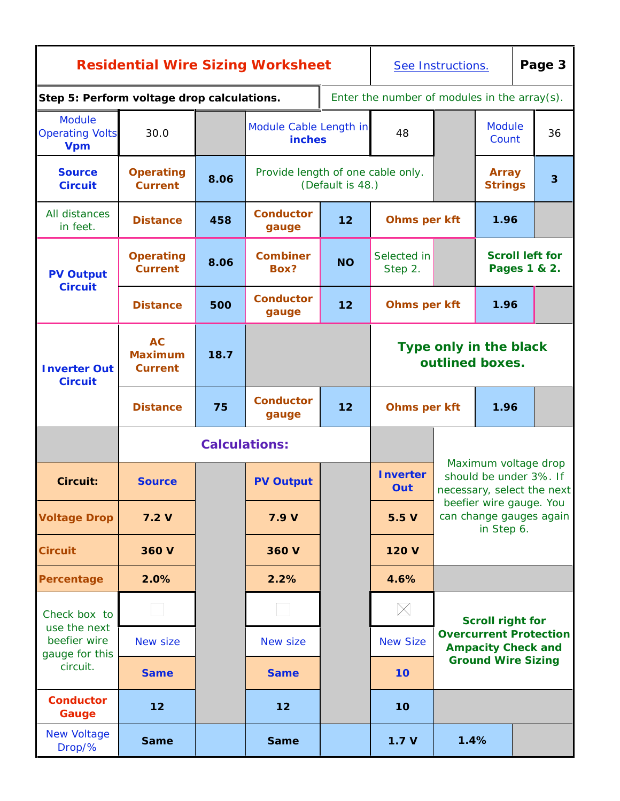| <b>Residential Wire Sizing Worksheet</b>              |                                               |      |                                         | See Instructions.                   |                                                 |                                           |                                                                              | Page 3 |                                        |
|-------------------------------------------------------|-----------------------------------------------|------|-----------------------------------------|-------------------------------------|-------------------------------------------------|-------------------------------------------|------------------------------------------------------------------------------|--------|----------------------------------------|
| Step 5: Perform voltage drop calculations.            |                                               |      |                                         |                                     | Enter the number of modules in the $array(s)$ . |                                           |                                                                              |        |                                        |
| <b>Module</b><br><b>Operating Volts</b><br><b>Vpm</b> | 30.0                                          |      | Module Cable Length in<br><b>inches</b> |                                     | 48                                              |                                           | <b>Module</b><br>Count                                                       |        | 36                                     |
| <b>Source</b><br><b>Circuit</b>                       | <b>Operating</b><br><b>Current</b>            | 8.06 | Provide length of one cable only.       | (Default is 48.)                    |                                                 |                                           | <b>Array</b><br><b>Strings</b>                                               |        | $\overline{3}$                         |
| All distances<br>in feet.                             | <b>Distance</b>                               | 458  | <b>Conductor</b><br>gauge               | 12                                  | Ohms per kft                                    |                                           | 1.96                                                                         |        |                                        |
| <b>PV Output</b>                                      | <b>Operating</b><br><b>Current</b>            | 8.06 | <b>Combiner</b><br>Box?                 | Selected in<br><b>NO</b><br>Step 2. |                                                 |                                           |                                                                              |        | <b>Scroll left for</b><br>Pages 1 & 2. |
| <b>Circuit</b>                                        | <b>Distance</b>                               | 500  | <b>Conductor</b><br>gauge               | 12                                  |                                                 | <b>Ohms per kft</b>                       | 1.96                                                                         |        |                                        |
| <b>Inverter Out</b><br><b>Circuit</b>                 | <b>AC</b><br><b>Maximum</b><br><b>Current</b> | 18.7 |                                         |                                     |                                                 | Type only in the black<br>outlined boxes. |                                                                              |        |                                        |
|                                                       | <b>Distance</b>                               | 75   | <b>Conductor</b><br>gauge               | 12<br>Ohms per kft                  |                                                 |                                           | 1.96                                                                         |        |                                        |
|                                                       |                                               |      | <b>Calculations:</b>                    |                                     |                                                 |                                           |                                                                              |        |                                        |
| <b>Circuit:</b>                                       | <b>Source</b>                                 |      | <b>PV Output</b>                        |                                     | <b>Inverter</b><br>Out                          |                                           | Maximum voltage drop<br>should be under 3%. If<br>necessary, select the next |        |                                        |
| <b>Voltage Drop</b>                                   | 7.2V                                          |      | 7.9 V                                   |                                     | 5.5V                                            |                                           | beefier wire gauge. You<br>can change gauges again<br>in Step 6.             |        |                                        |
| <b>Circuit</b>                                        | 360 V                                         |      | 360 V                                   |                                     | 120 V                                           |                                           |                                                                              |        |                                        |
| Percentage                                            | 2.0%                                          |      | 2.2%                                    |                                     | 4.6%                                            |                                           |                                                                              |        |                                        |
| Check box to<br>use the next                          |                                               |      |                                         |                                     | $\times$                                        |                                           | <b>Scroll right for</b>                                                      |        |                                        |
| beefier wire<br>gauge for this                        | New size                                      |      | New size                                |                                     | <b>New Size</b>                                 |                                           | <b>Overcurrent Protection</b><br><b>Ampacity Check and</b>                   |        |                                        |
| circuit.                                              | <b>Same</b>                                   |      | <b>Same</b>                             |                                     | 10                                              |                                           | <b>Ground Wire Sizing</b>                                                    |        |                                        |
| <b>Conductor</b><br>Gauge                             | 12                                            |      | 12                                      |                                     | 10 <sub>o</sub>                                 |                                           |                                                                              |        |                                        |
| <b>New Voltage</b><br>Drop/%                          | <b>Same</b>                                   |      | <b>Same</b>                             |                                     | 1.7V                                            | 1.4%                                      |                                                                              |        |                                        |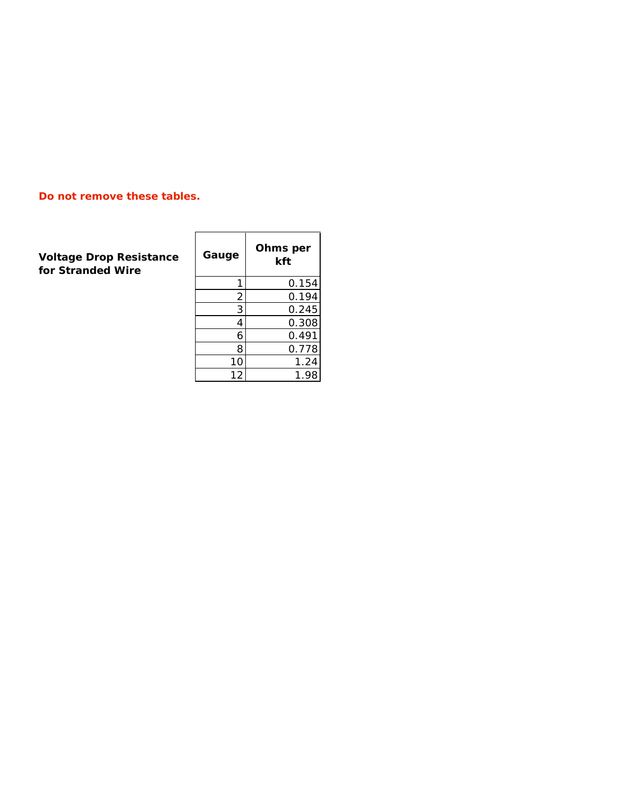### **Do not remove these tables.**

**Voltage Drop Resistance for Stranded Wire**

| Gauge         | Ohms per<br>kft |
|---------------|-----------------|
|               |                 |
| 1             | 0.154           |
|               | 0.194           |
| $\frac{2}{3}$ | 0.245           |
| 4             | 0.308           |
| 6             | 0.491           |
| 8             | 0.778           |
| 10            | 1.24            |
| 12            | 1.98            |